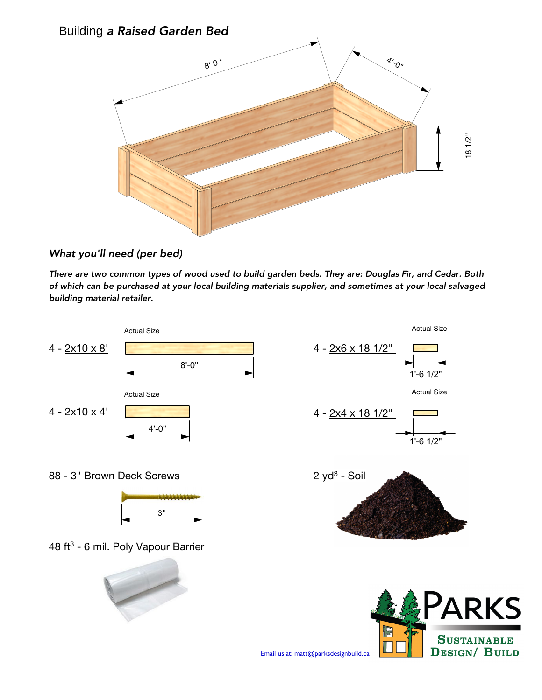

## What you'll need (per bed)

There are two common types of wood used to build garden beds. They are: Douglas Fir, and Cedar. Both of which can be purchased at your local building materials supplier, and sometimes at your local salvaged building material retailer.



88 - 3" Brown Deck Screws



48 ft<sup>3</sup> - 6 mil. Poly Vapour Barrier







Email us at: matt@parksdesignbuild.ca